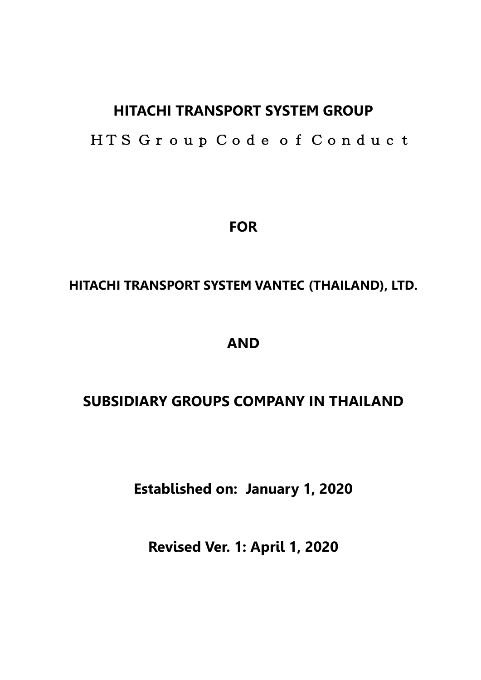# **HITACHI TRANSPORT SYSTEM GROUP**

HTS Group Code of Conduct

**FOR**

# **HITACHI TRANSPORT SYSTEM VANTEC (THAILAND), LTD.**

# **AND**

# **SUBSIDIARY GROUPS COMPANY IN THAILAND**

**Established on: January 1, 2020**

**Revised Ver. 1: April 1, 2020**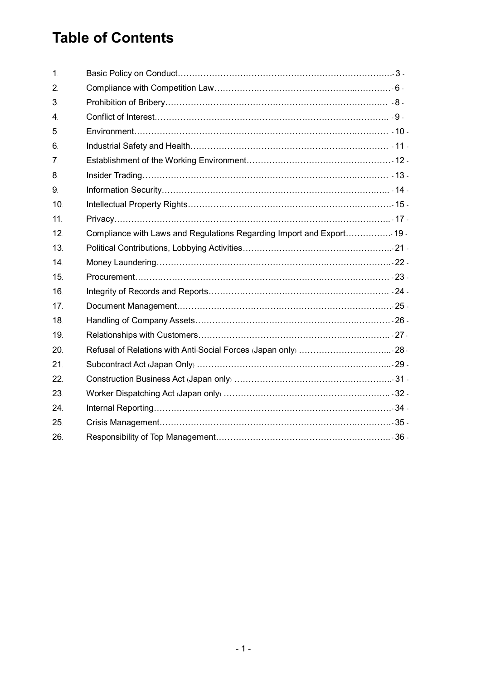# **Table of Contents**

| $\mathbf{1}$     |                                                                       |  |
|------------------|-----------------------------------------------------------------------|--|
| 2.               |                                                                       |  |
| 3 <sub>l</sub>   |                                                                       |  |
| $\overline{4}$ . |                                                                       |  |
| 5.               |                                                                       |  |
| 6.               |                                                                       |  |
| 7 <sub>1</sub>   |                                                                       |  |
| 8.               |                                                                       |  |
| 9 <sub>l</sub>   |                                                                       |  |
| 10 <sub>1</sub>  |                                                                       |  |
| 11 <sub>1</sub>  |                                                                       |  |
| 12.              | Compliance with Laws and Regulations Regarding Import and Export 19 - |  |
| 13.              |                                                                       |  |
| 14 <sub>1</sub>  |                                                                       |  |
| 15.              |                                                                       |  |
| 16.              |                                                                       |  |
| 17               |                                                                       |  |
| 18.              |                                                                       |  |
| 19               |                                                                       |  |
| 20.              |                                                                       |  |
| 21.              |                                                                       |  |
| 22.              |                                                                       |  |
| 23.              |                                                                       |  |
| 24.              |                                                                       |  |
| 25.              |                                                                       |  |
| 26.              |                                                                       |  |
|                  |                                                                       |  |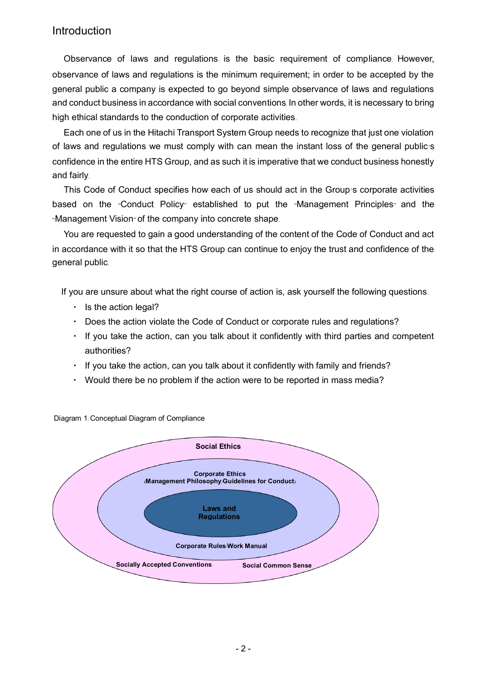### Introduction

Observance of laws and regulations is the basic requirement of compliance. However, observance of laws and regulations is the minimum requirement; in order to be accepted by the general public a company is expected to go beyond simple observance of laws and regulations and conduct business in accordance with social conventions. In other words, it is necessary to bring high ethical standards to the conduction of corporate activities.

Each one of us in the Hitachi Transport System Group needs to recognize that just one violation of laws and regulations we must comply with can mean the instant loss of the general public's confidence in the entire HTS Group, and as such it is imperative that we conduct business honestly and fairly.

This Code of Conduct specifies how each of us should act in the Group's corporate activities based on the "Conduct Policy" established to put the "Management Principles" and the "Management Vision" of the company into concrete shape.

You are requested to gain a good understanding of the content of the Code of Conduct and act in accordance with it so that the HTS Group can continue to enjoy the trust and confidence of the general public.

If you are unsure about what the right course of action is, ask yourself the following questions.

- $\cdot$  Is the action legal?
- ・ Does the action violate the Code of Conduct or corporate rules and regulations?
- ・ If you take the action, can you talk about it confidently with third parties and competent authorities?
- ・ If you take the action, can you talk about it confidently with family and friends?
- ・ Would there be no problem if the action were to be reported in mass media?



Diagram 1: Conceptual Diagram of Compliance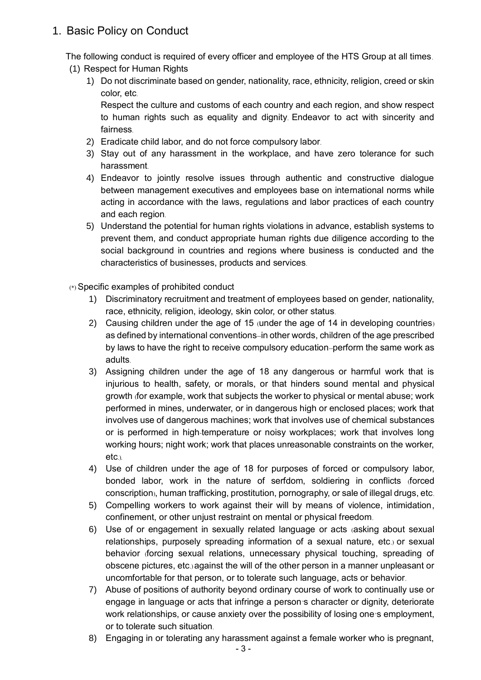### 1. Basic Policy on Conduct

The following conduct is required of every officer and employee of the HTS Group at all times.

- (1) Respect for Human Rights
	- 1) Do not discriminate based on gender, nationality, race, ethnicity, religion, creed or skin color, etc.

Respect the culture and customs of each country and each region, and show respect to human rights such as equality and dignity. Endeavor to act with sincerity and fairness.

- 2) Eradicate child labor, and do not force compulsory labor.
- 3) Stay out of any harassment in the workplace, and have zero tolerance for such harassment.
- 4) Endeavor to jointly resolve issues through authentic and constructive dialogue between management executives and employees base on international norms while acting in accordance with the laws, regulations and labor practices of each country and each region.
- 5) Understand the potential for human rights violations in advance, establish systems to prevent them, and conduct appropriate human rights due diligence according to the social background in countries and regions where business is conducted and the characteristics of businesses, products and services.

(\*) Specific examples of prohibited conduct

- 1) Discriminatory recruitment and treatment of employees based on gender, nationality, race, ethnicity, religion, ideology, skin color, or other status.
- 2) Causing children under the age of 15 (under the age of 14 in developing countries) as defined by international conventions--in other words, children of the age prescribed by laws to have the right to receive compulsory education--perform the same work as adults.
- 3) Assigning children under the age of 18 any dangerous or harmful work that is injurious to health, safety, or morals, or that hinders sound mental and physical growth (for example, work that subjects the worker to physical or mental abuse; work performed in mines, underwater, or in dangerous high or enclosed places; work that involves use of dangerous machines; work that involves use of chemical substances or is performed in high-temperature or noisy workplaces; work that involves long working hours; night work; work that places unreasonable constraints on the worker, etc.).
- 4) Use of children under the age of 18 for purposes of forced or compulsory labor, bonded labor, work in the nature of serfdom, soldiering in conflicts (forced conscription), human trafficking, prostitution, pornography, or sale of illegal drugs, etc.
- 5) Compelling workers to work against their will by means of violence, intimidation, confinement, or other unjust restraint on mental or physical freedom.
- 6) Use of or engagement in sexually related language or acts (asking about sexual relationships, purposely spreading information of a sexual nature, etc.) or sexual behavior (forcing sexual relations, unnecessary physical touching, spreading of obscene pictures, etc.) against the will of the other person in a manner unpleasant or uncomfortable for that person, or to tolerate such language, acts or behavior.
- 7) Abuse of positions of authority beyond ordinary course of work to continually use or engage in language or acts that infringe a person's character or dignity, deteriorate work relationships, or cause anxiety over the possibility of losing one's employment, or to tolerate such situation.
- 8) Engaging in or tolerating any harassment against a female worker who is pregnant,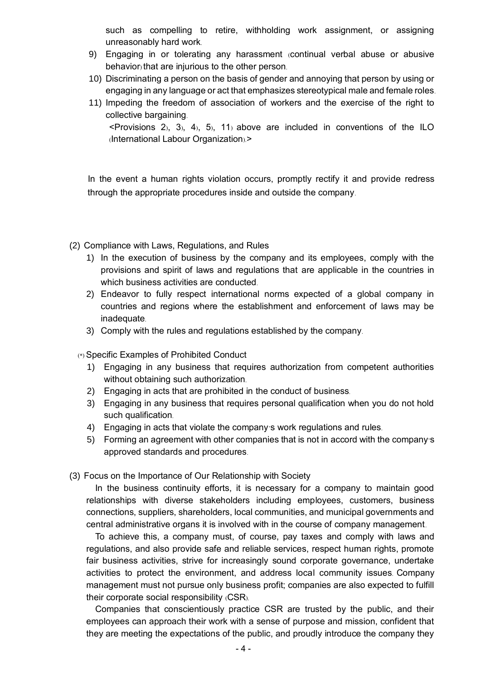such as compelling to retire, withholding work assignment, or assigning unreasonably hard work.

- 9) Engaging in or tolerating any harassment (continual verbal abuse or abusive behavior) that are injurious to the other person.
- 10) Discriminating a person on the basis of gender and annoying that person by using or engaging in any language or act that emphasizes stereotypical male and female roles.
- 11) Impeding the freedom of association of workers and the exercise of the right to collective bargaining.  $\le$ Provisions 2), 3), 4), 5), 11) above are included in conventions of the ILO

(International Labour Organization).>

In the event a human rights violation occurs, promptly rectify it and provide redress through the appropriate procedures inside and outside the company.

- (2) Compliance with Laws, Regulations, and Rules
	- 1) In the execution of business by the company and its employees, comply with the provisions and spirit of laws and regulations that are applicable in the countries in which business activities are conducted.
	- 2) Endeavor to fully respect international norms expected of a global company in countries and regions where the establishment and enforcement of laws may be inadequate.
	- 3) Comply with the rules and regulations established by the company.

(\*) Specific Examples of Prohibited Conduct

- 1) Engaging in any business that requires authorization from competent authorities without obtaining such authorization.
- 2) Engaging in acts that are prohibited in the conduct of business.
- 3) Engaging in any business that requires personal qualification when you do not hold such qualification.
- 4) Engaging in acts that violate the company's work regulations and rules.
- 5) Forming an agreement with other companies that is not in accord with the company's approved standards and procedures.
- (3) Focus on the Importance of Our Relationship with Society

In the business continuity efforts, it is necessary for a company to maintain good relationships with diverse stakeholders including employees, customers, business connections, suppliers, shareholders, local communities, and municipal governments and central administrative organs it is involved with in the course of company management.

To achieve this, a company must, of course, pay taxes and comply with laws and regulations, and also provide safe and reliable services, respect human rights, promote fair business activities, strive for increasingly sound corporate governance, undertake activities to protect the environment, and address local community issues. Company management must not pursue only business profit; companies are also expected to fulfill their corporate social responsibility (CSR).

Companies that conscientiously practice CSR are trusted by the public, and their employees can approach their work with a sense of purpose and mission, confident that they are meeting the expectations of the public, and proudly introduce the company they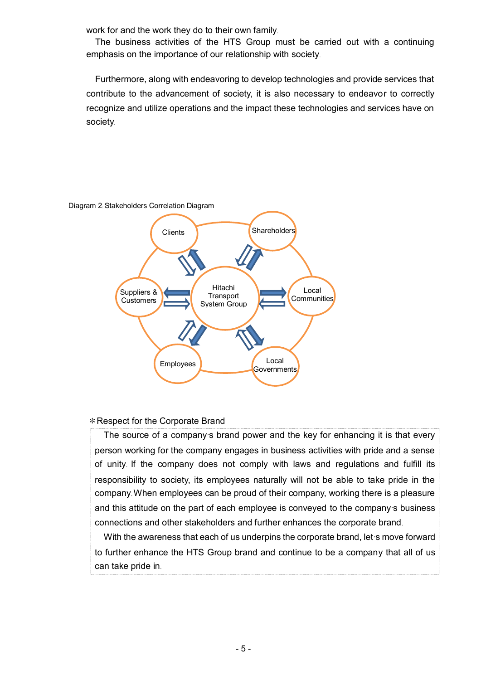work for and the work they do to their own family.

The business activities of the HTS Group must be carried out with a continuing emphasis on the importance of our relationship with society.

Furthermore, along with endeavoring to develop technologies and provide services that contribute to the advancement of society, it is also necessary to endeavor to correctly recognize and utilize operations and the impact these technologies and services have on society.



Diagram 2: Stakeholders Correlation Diagram

### \*Respect for the Corporate Brand

The source of a company's brand power and the key for enhancing it is that every person working for the company engages in business activities with pride and a sense of unity. If the company does not comply with laws and regulations and fulfill its responsibility to society, its employees naturally will not be able to take pride in the company. When employees can be proud of their company, working there is a pleasure and this attitude on the part of each employee is conveyed to the company's business connections and other stakeholders and further enhances the corporate brand.

With the awareness that each of us underpins the corporate brand, let's move forward to further enhance the HTS Group brand and continue to be a company that all of us can take pride in.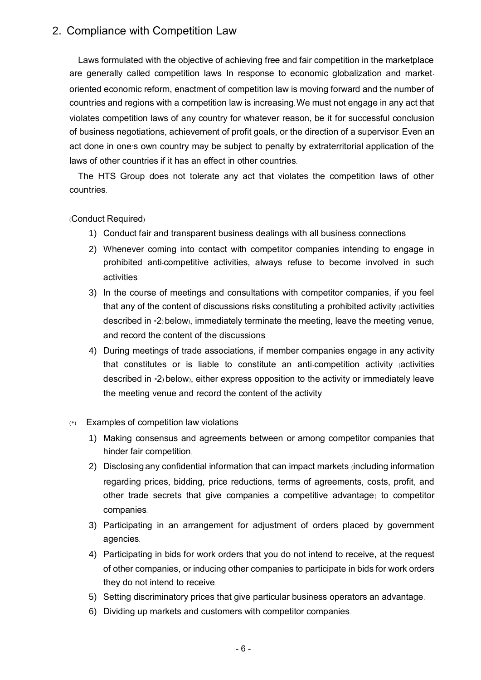### 2. Compliance with Competition Law

Laws formulated with the objective of achieving free and fair competition in the marketplace are generally called competition laws. In response to economic globalization and marketoriented economic reform, enactment of competition law is moving forward and the number of countries and regions with a competition law is increasing. We must not engage in any act that violates competition laws of any country for whatever reason, be it for successful conclusion of business negotiations, achievement of profit goals, or the direction of a supervisor. Even an act done in one's own country may be subject to penalty by extraterritorial application of the laws of other countries if it has an effect in other countries.

The HTS Group does not tolerate any act that violates the competition laws of other countries.

### (Conduct Required)

- 1) Conduct fair and transparent business dealings with all business connections.
- 2) Whenever coming into contact with competitor companies intending to engage in prohibited anti-competitive activities, always refuse to become involved in such activities.
- 3) In the course of meetings and consultations with competitor companies, if you feel that any of the content of discussions risks constituting a prohibited activity (activities described in \*2)below), immediately terminate the meeting, leave the meeting venue, and record the content of the discussions.
- 4) During meetings of trade associations, if member companies engage in any activity that constitutes or is liable to constitute an anti-competition activity (activities described in \*2) below), either express opposition to the activity or immediately leave the meeting venue and record the content of the activity.
- (\*) Examples of competition law violations
	- 1) Making consensus and agreements between or among competitor companies that hinder fair competition.
	- 2) Disclosing any confidential information that can impact markets (including information regarding prices, bidding, price reductions, terms of agreements, costs, profit, and other trade secrets that give companies a competitive advantage) to competitor companies.
	- 3) Participating in an arrangement for adjustment of orders placed by government agencies.
	- 4) Participating in bids for work orders that you do not intend to receive, at the request of other companies, or inducing other companies to participate in bids for work orders they do not intend to receive.
	- 5) Setting discriminatory prices that give particular business operators an advantage.
	- 6) Dividing up markets and customers with competitor companies.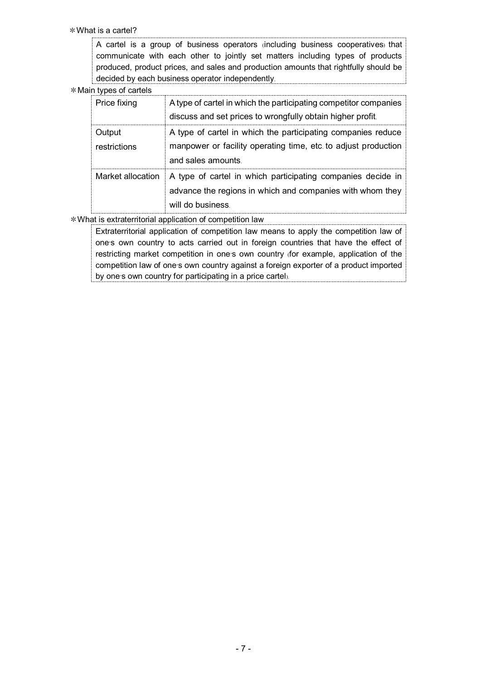\*What is a cartel?

A cartel is a group of business operators (including business cooperatives) that communicate with each other to jointly set matters including types of products produced, product prices, and sales and production amounts that rightfully should be decided by each business operator independently.

#### \*Main types of cartels

| Price fixing           | A type of cartel in which the participating competitor companies<br>discuss and set prices to wrongfully obtain higher profit.                       |
|------------------------|------------------------------------------------------------------------------------------------------------------------------------------------------|
| Output<br>restrictions | A type of cartel in which the participating companies reduce<br>manpower or facility operating time, etc. to adjust production<br>and sales amounts. |
| Market allocation      | A type of cartel in which participating companies decide in<br>advance the regions in which and companies with whom they<br>will do business         |

\*What is extraterritorial application of competition law

Extraterritorial application of competition law means to apply the competition law of one's own country to acts carried out in foreign countries that have the effect of restricting market competition in one's own country (for example, application of the competition law of one's own country against a foreign exporter of a product imported by one's own country for participating in a price cartel).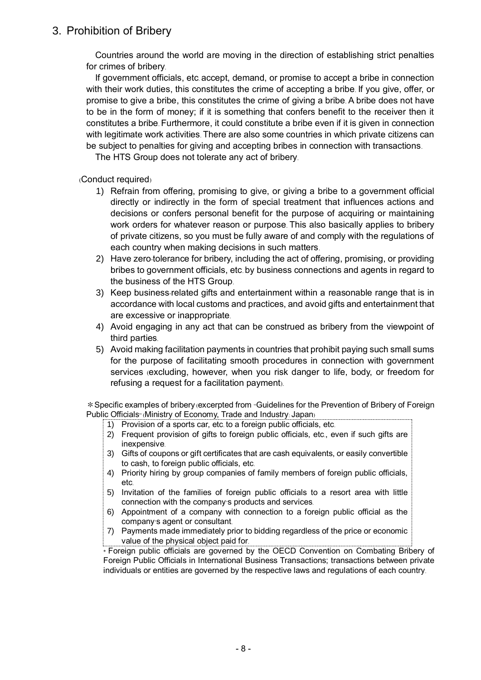### 3. Prohibition of Bribery

Countries around the world are moving in the direction of establishing strict penalties for crimes of bribery.

If government officials, etc. accept, demand, or promise to accept a bribe in connection with their work duties, this constitutes the crime of accepting a bribe. If you give, offer, or promise to give a bribe, this constitutes the crime of giving a bribe. A bribe does not have to be in the form of money; if it is something that confers benefit to the receiver then it constitutes a bribe. Furthermore, it could constitute a bribe even if it is given in connection with legitimate work activities. There are also some countries in which private citizens can be subject to penalties for giving and accepting bribes in connection with transactions.

The HTS Group does not tolerate any act of bribery.

(Conduct required)

- 1) Refrain from offering, promising to give, or giving a bribe to a government official directly or indirectly in the form of special treatment that influences actions and decisions or confers personal benefit for the purpose of acquiring or maintaining work orders for whatever reason or purpose. This also basically applies to bribery of private citizens, so you must be fully aware of and comply with the regulations of each country when making decisions in such matters.
- 2) Have zero-tolerance for bribery, including the act of offering, promising, or providing bribes to government officials, etc. by business connections and agents in regard to the business of the HTS Group.
- 3) Keep business-related gifts and entertainment within a reasonable range that is in accordance with local customs and practices, and avoid gifts and entertainment that are excessive or inappropriate.
- 4) Avoid engaging in any act that can be construed as bribery from the viewpoint of third parties.
- 5) Avoid making facilitation payments in countries that prohibit paying such small sums for the purpose of facilitating smooth procedures in connection with government services (excluding, however, when you risk danger to life, body, or freedom for refusing a request for a facilitation payment).

\*Specific examples of bribery (excerpted from "Guidelines for the Prevention of Bribery of Foreign Public Officials<sup>®</sup> (Ministry of Economy, Trade and Industry: Japan)

- 1) Provision of a sports car, etc. to a foreign public officials, etc.
- 2) Frequent provision of gifts to foreign public officials, etc., even if such gifts are inexpensive.
- 3) Gifts of coupons or gift certificates that are cash equivalents, or easily convertible to cash, to foreign public officials, etc.
- 4) Priority hiring by group companies of family members of foreign public officials, etc.
- 5) Invitation of the families of foreign public officials to a resort area with little connection with the company's products and services.
- 6) Appointment of a company with connection to a foreign public official as the company's agent or consultant.
- 7) Payments made immediately prior to bidding regardless of the price or economic value of the physical object paid for.

\* Foreign public officials are governed by the OECD Convention on Combating Bribery of Foreign Public Officials in International Business Transactions; transactions between private individuals or entities are governed by the respective laws and regulations of each country.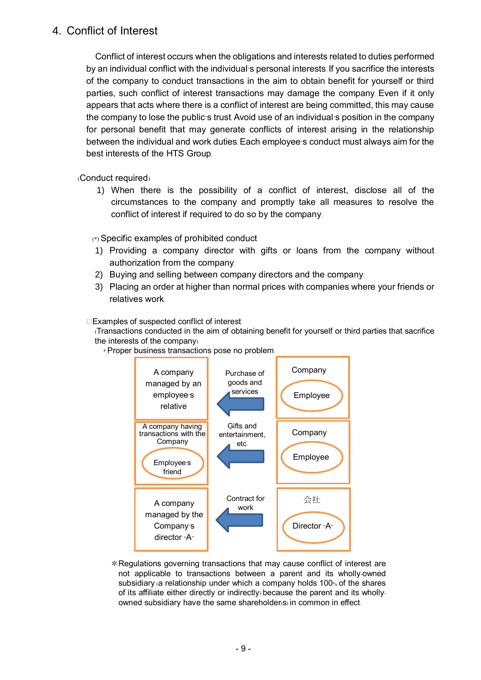### 4. Conflict of Interest

Conflict of interest occurs when the obligations and interests related to duties performed by an individual conflict with the individual's personal interests. If you sacrifice the interests of the company to conduct transactions in the aim to obtain benefit for yourself or third parties, such conflict of interest transactions may damage the company. Even if it only appears that acts where there is a conflict of interest are being committed, this may cause the company to lose the public's trust. Avoid use of an individual's position in the company for personal benefit that may generate conflicts of interest arising in the relationship between the individual and work duties. Each employee's conduct must always aim for the best interests of the HTS Group.

(Conduct required)

1) When there is the possibility of a conflict of interest, disclose all of the circumstances to the company and promptly take all measures to resolve the conflict of interest if required to do so by the company.

(\*) Specific examples of prohibited conduct

- 1) Providing a company director with gifts or loans from the company without authorization from the company.
- 2) Buying and selling between company directors and the company.
- 3) Placing an order at higher than normal prices with companies where your friends or relatives work.

### $\square$ Examples of suspected conflict of interest

(Transactions conducted in the aim of obtaining benefit for yourself or third parties that sacrifice the interests of the company)



\* Proper business transactions pose no problem.

\*Regulations governing transactions that may cause conflict of interest are not applicable to transactions between a parent and its wholly-owned subsidiary (a relationship under which a company holds 100% of the shares of its affiliate either directly or indirectly) because the parent and its whollyowned subsidiary have the same shareholder(s) in common in effect.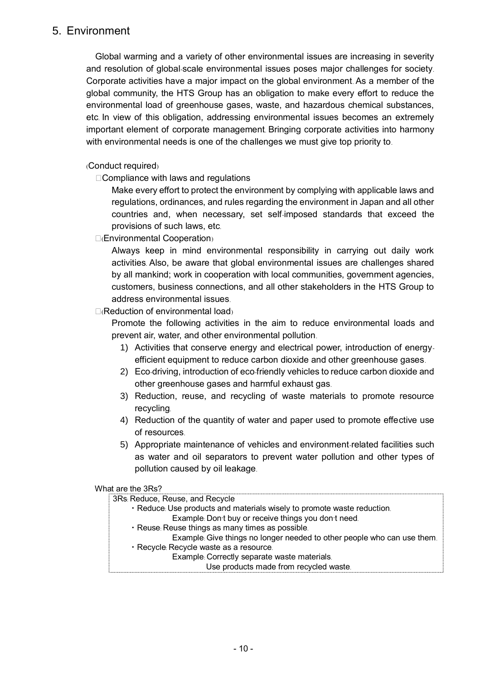### 5. Environment

Global warming and a variety of other environmental issues are increasing in severity and resolution of global-scale environmental issues poses major challenges for society. Corporate activities have a major impact on the global environment. As a member of the global community, the HTS Group has an obligation to make every effort to reduce the environmental load of greenhouse gases, waste, and hazardous chemical substances, etc. In view of this obligation, addressing environmental issues becomes an extremely important element of corporate management. Bringing corporate activities into harmony with environmental needs is one of the challenges we must give top priority to.

### (Conduct required)

 $\Box$ Compliance with laws and regulations

Make every effort to protect the environment by complying with applicable laws and regulations, ordinances, and rules regarding the environment in Japan and all other countries and, when necessary, set self-imposed standards that exceed the provisions of such laws, etc.

□(Environmental Cooperation)

Always keep in mind environmental responsibility in carrying out daily work activities. Also, be aware that global environmental issues are challenges shared by all mankind; work in cooperation with local communities, government agencies, customers, business connections, and all other stakeholders in the HTS Group to address environmental issues.

### $\Box$ (Reduction of environmental load)

Promote the following activities in the aim to reduce environmental loads and prevent air, water, and other environmental pollution.

- 1) Activities that conserve energy and electrical power, introduction of energyefficient equipment to reduce carbon dioxide and other greenhouse gases.
- 2) Eco-driving, introduction of eco-friendly vehicles to reduce carbon dioxide and other greenhouse gases and harmful exhaust gas.
- 3) Reduction, reuse, and recycling of waste materials to promote resource recycling.
- 4) Reduction of the quantity of water and paper used to promote effective use of resources.
- 5) Appropriate maintenance of vehicles and environment-related facilities such as water and oil separators to prevent water pollution and other types of pollution caused by oil leakage.

#### What are the 3Rs?

| 3Rs: Reduce, Reuse, and Recycle                                         |
|-------------------------------------------------------------------------|
| · Reduce: Use products and materials wisely to promote waste reduction. |
| Example: Don't buy or receive things you don't need.                    |
| · Reuse: Reuse things as many times as possible.                        |
| Example: Give things no longer needed to other people who can use them. |
| · Recycle: Recycle waste as a resource.                                 |
| Example: Correctly separate waste materials.                            |
| Use products made from recycled waste.                                  |
|                                                                         |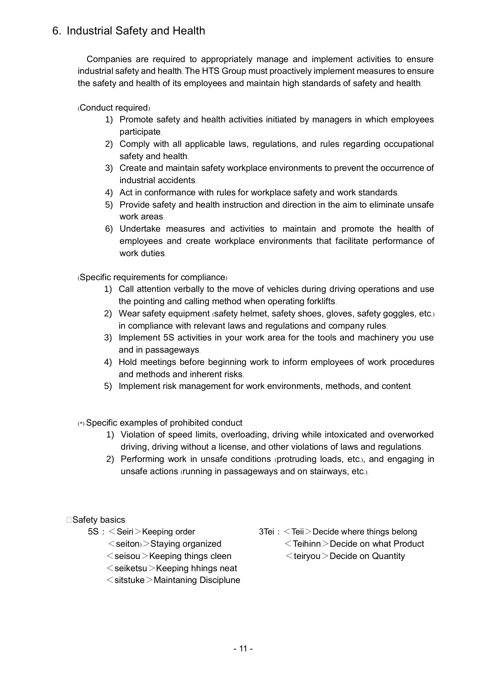# 6. Industrial Safety and Health

Companies are required to appropriately manage and implement activities to ensure industrial safety and health.The HTS Group must proactively implement measures to ensure the safety and health of its employees and maintain high standards of safety and health.

(Conduct required)

- 1) Promote safety and health activities initiated by managers in which employees participate.
- 2) Comply with all applicable laws, regulations, and rules regarding occupational safety and health.
- 3) Create and maintain safety workplace environments to prevent the occurrence of industrial accidents.
- 4) Act in conformance with rules for workplace safety and work standards.
- 5) Provide safety and health instruction and direction in the aim to eliminate unsafe work areas.
- 6) Undertake measures and activities to maintain and promote the health of employees and create workplace environments that facilitate performance of work duties.

(Specific requirements for compliance)

- 1) Call attention verbally to the move of vehicles during driving operations and use the pointing and calling method when operating forklifts.
- 2) Wear safety equipment (safety helmet, safety shoes, gloves, safety goggles, etc.) in compliance with relevant laws and regulations and company rules.
- 3) Implement 5S activities in your work area for the tools and machinery you use and in passageways.
- 4) Hold meetings before beginning work to inform employees of work procedures and methods and inherent risks.
- 5) Implement risk management for work environments, methods, and content.

### (\*) Specific examples of prohibited conduct

- 1) Violation of speed limits, overloading, driving while intoxicated and overworked driving, driving without a license, and other violations of laws and regulations.
- 2) Performing work in unsafe conditions (protruding loads, etc.), and engaging in unsafe actions (running in passageways and on stairways, etc.).

### □Safety basics

- -
	- $\le$ seisou $>$ Keeping things cleen  $\le$ teiryou $>$ Decide on Quantity
	- $\leq$ seiketsu $\geq$ Keeping hhings neat
	- $\le$ sitstuke $>$ Maintaning Disciplune
- 5S:<Seiri>Keeping order 3Tei:<Teii>Decide where things belong
	- $\le$ seiton $>$ Staving organized  $\le$ Teihinn $>$ Decide on what Product
		-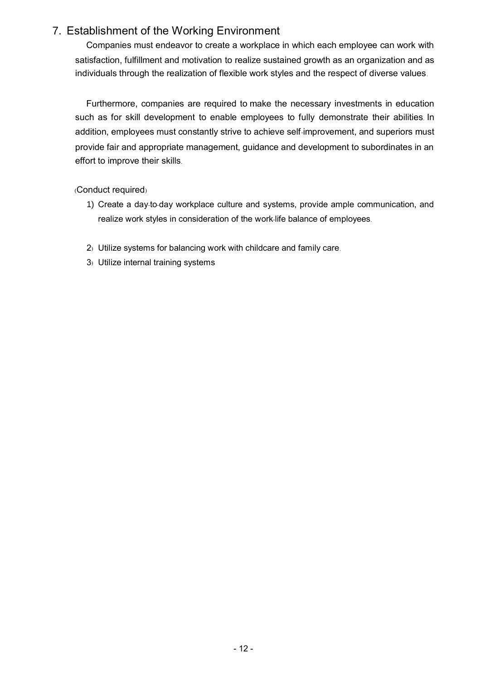# 7. Establishment of the Working Environment

Companies must endeavor to create a workplace in which each employee can work with satisfaction, fulfillment and motivation to realize sustained growth as an organization and as individuals through the realization of flexible work styles and the respect of diverse values.

Furthermore, companies are required to make the necessary investments in education such as for skill development to enable employees to fully demonstrate their abilities. In addition, employees must constantly strive to achieve self-improvement, and superiors must provide fair and appropriate management, guidance and development to subordinates in an effort to improve their skills.

(Conduct required)

- 1) Create a day-to-day workplace culture and systems, provide ample communication, and realize work styles in consideration of the work-life balance of employees.
- 2) Utilize systems for balancing work with childcare and family care.
- 3) Utilize internal training systems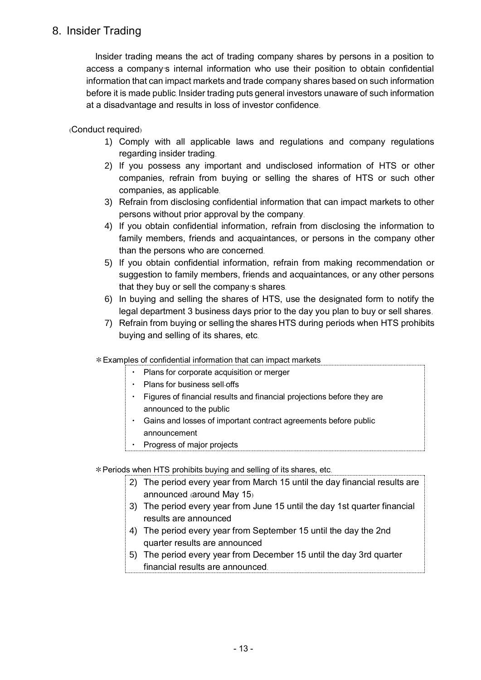## 8. Insider Trading

Insider trading means the act of trading company shares by persons in a position to access a company's internal information who use their position to obtain confidential information that can impact markets and trade company shares based on such information before it is made public. Insider trading puts general investors unaware of such information at a disadvantage and results in loss of investor confidence.

(Conduct required)

- 1) Comply with all applicable laws and regulations and company regulations regarding insider trading.
- 2) If you possess any important and undisclosed information of HTS or other companies, refrain from buying or selling the shares of HTS or such other companies, as applicable.
- 3) Refrain from disclosing confidential information that can impact markets to other persons without prior approval by the company.
- 4) If you obtain confidential information, refrain from disclosing the information to family members, friends and acquaintances, or persons in the company other than the persons who are concerned.
- 5) If you obtain confidential information, refrain from making recommendation or suggestion to family members, friends and acquaintances, or any other persons that they buy or sell the company's shares.
- 6) In buying and selling the shares of HTS, use the designated form to notify the legal department 3 business days prior to the day you plan to buy or sell shares.
- 7) Refrain from buying or selling the shares HTS during periods when HTS prohibits buying and selling of its shares, etc.
- \*Examples of confidential information that can impact markets
	- ・ Plans for corporate acquisition or merger
	- ・ Plans for business sell-offs
	- ・ Figures of financial results and financial projections before they are announced to the public
	- ・ Gains and losses of important contract agreements before public announcement
	- Progress of major projects

\*Periods when HTS prohibits buying and selling of its shares, etc.

- 2) The period every year from March 15 until the day financial results are announced (around May 15)
- 3) The period every year from June 15 until the day 1st quarter financial results are announced
- 4) The period every year from September 15 until the day the 2nd quarter results are announced
- 5) The period every year from December 15 until the day 3rd quarter financial results are announced.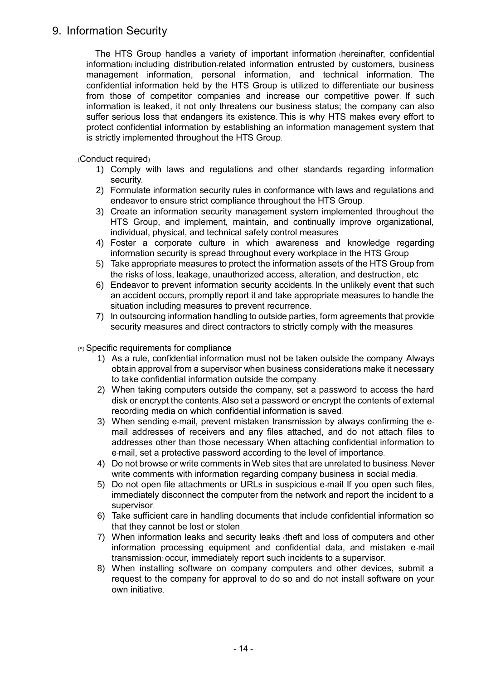### 9. Information Security

The HTS Group handles a variety of important information (hereinafter, confidential information) including distribution-related information entrusted by customers, business management information, personal information, and technical information. The confidential information held by the HTS Group is utilized to differentiate our business from those of competitor companies and increase our competitive power. If such information is leaked, it not only threatens our business status; the company can also suffer serious loss that endangers its existence. This is why HTS makes every effort to protect confidential information by establishing an information management system that is strictly implemented throughout the HTS Group.

(Conduct required)

- 1) Comply with laws and regulations and other standards regarding information security.
- 2) Formulate information security rules in conformance with laws and regulations and endeavor to ensure strict compliance throughout the HTS Group.
- 3) Create an information security management system implemented throughout the HTS Group, and implement, maintain, and continually improve organizational, individual, physical, and technical safety control measures.
- 4) Foster a corporate culture in which awareness and knowledge regarding information security is spread throughout every workplace in the HTS Group.
- 5) Take appropriate measures to protect the information assets of the HTS Group from the risks of loss, leakage, unauthorized access, alteration, and destruction, etc.
- 6) Endeavor to prevent information security accidents. In the unlikely event that such an accident occurs, promptly report it and take appropriate measures to handle the situation including measures to prevent recurrence.
- 7) In outsourcing information handling to outside parties, form agreements that provide security measures and direct contractors to strictly comply with the measures.

(\*) Specific requirements for compliance

- 1) As a rule, confidential information must not be taken outside the company. Always obtain approval from a supervisor when business considerations make it necessary to take confidential information outside the company.
- 2) When taking computers outside the company, set a password to access the hard disk or encrypt the contents. Also set a password or encrypt the contents of external recording media on which confidential information is saved.
- 3) When sending e-mail, prevent mistaken transmission by always confirming the email addresses of receivers and any files attached, and do not attach files to addresses other than those necessary. When attaching confidential information to e-mail, set a protective password according to the level of importance.
- 4) Do not browse or write comments in Web sites that are unrelated to business. Never write comments with information regarding company business in social media.
- 5) Do not open file attachments or URLs in suspicious e-mail. If you open such files, immediately disconnect the computer from the network and report the incident to a supervisor.
- 6) Take sufficient care in handling documents that include confidential information so that they cannot be lost or stolen.
- 7) When information leaks and security leaks (theft and loss of computers and other information processing equipment and confidential data, and mistaken e-mail transmission) occur, immediately report such incidents to a supervisor.
- 8) When installing software on company computers and other devices, submit a request to the company for approval to do so and do not install software on your own initiative.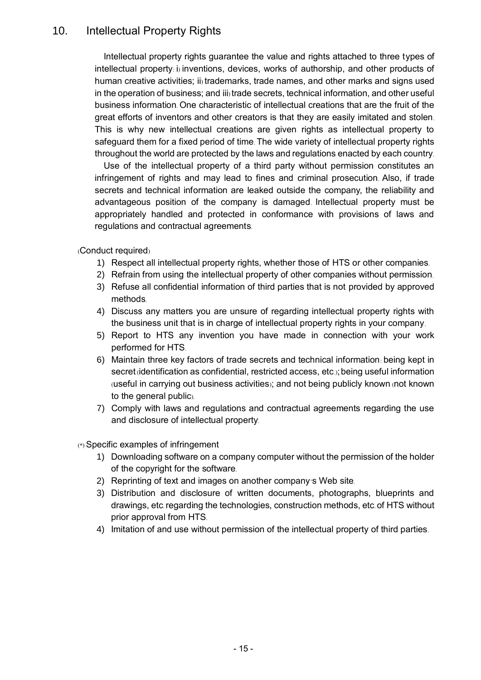## 10. Intellectual Property Rights

Intellectual property rights guarantee the value and rights attached to three types of intellectual property: i) inventions, devices, works of authorship, and other products of human creative activities; ii) trademarks, trade names, and other marks and signs used in the operation of business; and iii) trade secrets, technical information, and other useful business information. One characteristic of intellectual creations that are the fruit of the great efforts of inventors and other creators is that they are easily imitated and stolen. This is why new intellectual creations are given rights as intellectual property to safeguard them for a fixed period of time. The wide variety of intellectual property rights throughout the world are protected by the laws and regulations enacted by each country.

Use of the intellectual property of a third party without permission constitutes an infringement of rights and may lead to fines and criminal prosecution. Also, if trade secrets and technical information are leaked outside the company, the reliability and advantageous position of the company is damaged. Intellectual property must be appropriately handled and protected in conformance with provisions of laws and regulations and contractual agreements.

(Conduct required)

- 1) Respect all intellectual property rights, whether those of HTS or other companies.
- 2) Refrain from using the intellectual property of other companies without permission.
- 3) Refuse all confidential information of third parties that is not provided by approved methods.
- 4) Discuss any matters you are unsure of regarding intellectual property rights with the business unit that is in charge of intellectual property rights in your company.
- 5) Report to HTS any invention you have made in connection with your work performed for HTS.
- 6) Maintain three key factors of trade secrets and technical information: being kept in secret (identification as confidential, restricted access, etc.); being useful information (useful in carrying out business activities); and not being publicly known (not known to the general public).
- 7) Comply with laws and regulations and contractual agreements regarding the use and disclosure of intellectual property.

- 1) Downloading software on a company computer without the permission of the holder of the copyright for the software.
- 2) Reprinting of text and images on another company's Web site.
- 3) Distribution and disclosure of written documents, photographs, blueprints and drawings, etc.regarding the technologies, construction methods, etc. of HTS without prior approval from HTS.
- 4) Imitation of and use without permission of the intellectual property of third parties.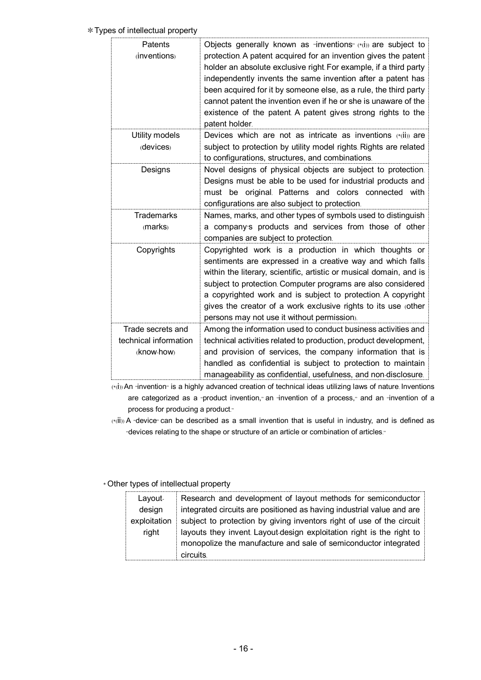#### \*Types of intellectual property

| Patents<br>(inventions)                                  | Objects generally known as "inventions" (*(i)) are subject to<br>protection. A patent acquired for an invention gives the patent<br>holder an absolute exclusive right. For example, if a third party<br>independently invents the same invention after a patent has<br>been acquired for it by someone else, as a rule, the third party<br>cannot patent the invention even if he or she is unaware of the<br>existence of the patent. A patent gives strong rights to the<br>patent holder. |
|----------------------------------------------------------|-----------------------------------------------------------------------------------------------------------------------------------------------------------------------------------------------------------------------------------------------------------------------------------------------------------------------------------------------------------------------------------------------------------------------------------------------------------------------------------------------|
| Utility models<br>(devices)                              | Devices which are not as intricate as inventions (*(ii)) are<br>subject to protection by utility model rights. Rights are related<br>to configurations, structures, and combinations.                                                                                                                                                                                                                                                                                                         |
| Designs                                                  | Novel designs of physical objects are subject to protection.<br>Designs must be able to be used for industrial products and<br>must be original. Patterns and colors connected with<br>configurations are also subject to protection.                                                                                                                                                                                                                                                         |
| <b>Trademarks</b><br>(marks)                             | Names, marks, and other types of symbols used to distinguish<br>a company's products and services from those of other<br>companies are subject to protection.                                                                                                                                                                                                                                                                                                                                 |
| Copyrights                                               | Copyrighted work is a production in which thoughts or<br>sentiments are expressed in a creative way and which falls<br>within the literary, scientific, artistic or musical domain, and is<br>subject to protection. Computer programs are also considered<br>a copyrighted work and is subject to protection. A copyright<br>gives the creator of a work exclusive rights to its use (other<br>persons may not use it without permission).                                                   |
| Trade secrets and<br>technical information<br>(know-how) | Among the information used to conduct business activities and<br>technical activities related to production, product development,<br>and provision of services, the company information that is<br>handled as confidential is subject to protection to maintain<br>manageability as confidential, usefulness, and non-disclosure.                                                                                                                                                             |

(\*(i)) An "invention" is a highly advanced creation of technical ideas utilizing laws of nature. Inventions are categorized as a "product invention," an "invention of a process," and an "invention of a process for producing a product."

(\*(ii)) A "device" can be described as a small invention that is useful in industry, and is defined as "devices relating to the shape or structure of an article or combination of articles."

### \* Other types of intellectual property

| Layout-      | Research and development of layout methods for semiconductor          |
|--------------|-----------------------------------------------------------------------|
| design       | integrated circuits are positioned as having industrial value and are |
| exploitation | subject to protection by giving inventors right of use of the circuit |
| right        | layouts they invent. Layout-design exploitation right is the right to |
|              | monopolize the manufacture and sale of semiconductor integrated       |
|              | <b>circuits</b>                                                       |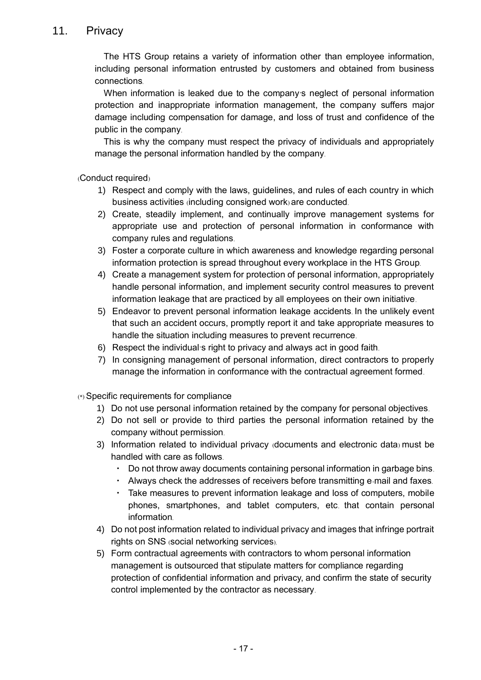## 11. Privacy

The HTS Group retains a variety of information other than employee information, including personal information entrusted by customers and obtained from business connections.

When information is leaked due to the company's neglect of personal information protection and inappropriate information management, the company suffers major damage including compensation for damage, and loss of trust and confidence of the public in the company.

This is why the company must respect the privacy of individuals and appropriately manage the personal information handled by the company.

(Conduct required)

- 1) Respect and comply with the laws, guidelines, and rules of each country in which business activities (including consigned work) are conducted.
- 2) Create, steadily implement, and continually improve management systems for appropriate use and protection of personal information in conformance with company rules and regulations.
- 3) Foster a corporate culture in which awareness and knowledge regarding personal information protection is spread throughout every workplace in the HTS Group.
- 4) Create a management system for protection of personal information, appropriately handle personal information, and implement security control measures to prevent information leakage that are practiced by all employees on their own initiative.
- 5) Endeavor to prevent personal information leakage accidents. In the unlikely event that such an accident occurs, promptly report it and take appropriate measures to handle the situation including measures to prevent recurrence.
- 6) Respect the individual's right to privacy and always act in good faith.
- 7) In consigning management of personal information, direct contractors to properly manage the information in conformance with the contractual agreement formed.

(\*) Specific requirements for compliance

- 1) Do not use personal information retained by the company for personal objectives.
- 2) Do not sell or provide to third parties the personal information retained by the company without permission.
- 3) Information related to individual privacy (documents and electronic data) must be handled with care as follows.
	- Do not throw away documents containing personal information in garbage bins.
	- ・ Always check the addresses of receivers before transmitting e-mail and faxes.
	- ・ Take measures to prevent information leakage and loss of computers, mobile phones, smartphones, and tablet computers, etc. that contain personal information.
- 4) Do not post information related to individual privacy and images that infringe portrait rights on SNS (social networking services).
- 5) Form contractual agreements with contractors to whom personal information management is outsourced that stipulate matters for compliance regarding protection of confidential information and privacy, and confirm the state of security control implemented by the contractor as necessary.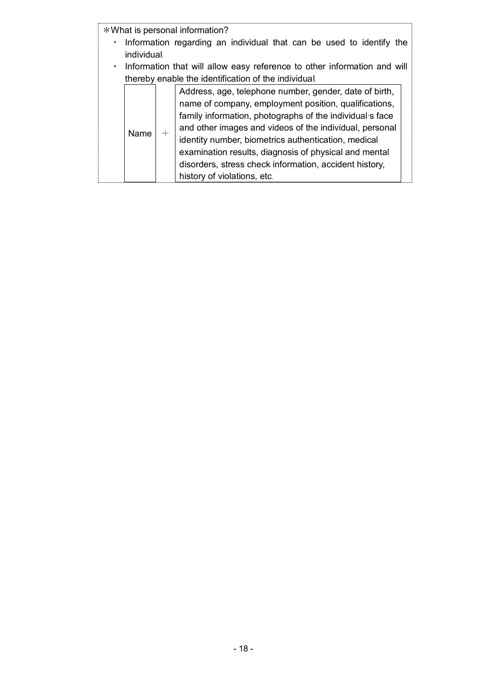| * What is personal information?<br>Information regarding an individual that can be used to identify the<br>individual<br>Information that will allow easy reference to other information and will |                                                                                                                                                                                                                                                                                                                                                                                                                                                 |  |  |  |
|---------------------------------------------------------------------------------------------------------------------------------------------------------------------------------------------------|-------------------------------------------------------------------------------------------------------------------------------------------------------------------------------------------------------------------------------------------------------------------------------------------------------------------------------------------------------------------------------------------------------------------------------------------------|--|--|--|
|                                                                                                                                                                                                   | thereby enable the identification of the individual.                                                                                                                                                                                                                                                                                                                                                                                            |  |  |  |
| Name                                                                                                                                                                                              | Address, age, telephone number, gender, date of birth,<br>name of company, employment position, qualifications,<br>family information, photographs of the individual's face<br>and other images and videos of the individual, personal<br>identity number, biometrics authentication, medical<br>examination results, diagnosis of physical and mental<br>disorders, stress check information, accident history,<br>history of violations, etc. |  |  |  |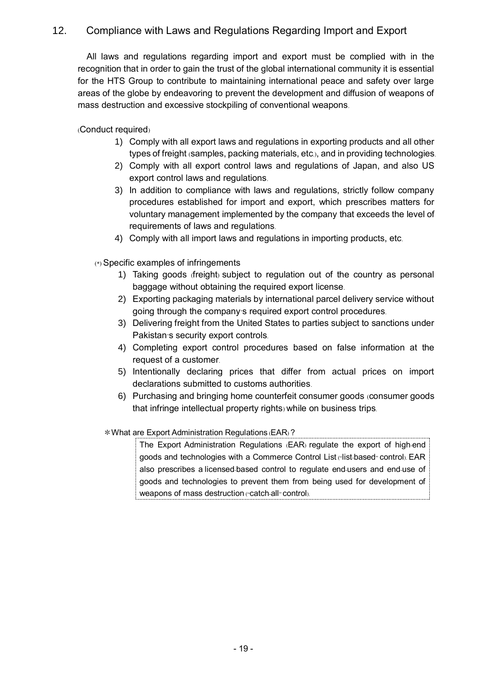### 12. Compliance with Laws and Regulations Regarding Import and Export

All laws and regulations regarding import and export must be complied with in the recognition that in order to gain the trust of the global international community it is essential for the HTS Group to contribute to maintaining international peace and safety over large areas of the globe by endeavoring to prevent the development and diffusion of weapons of mass destruction and excessive stockpiling of conventional weapons.

(Conduct required)

- 1) Comply with all export laws and regulations in exporting products and all other types of freight (samples, packing materials, etc.), and in providing technologies.
- 2) Comply with all export control laws and regulations of Japan, and also US export control laws and regulations.
- 3) In addition to compliance with laws and regulations, strictly follow company procedures established for import and export, which prescribes matters for voluntary management implemented by the company that exceeds the level of requirements of laws and regulations.
- 4) Comply with all import laws and regulations in importing products, etc.

(\*) Specific examples of infringements

- 1) Taking goods (freight) subject to regulation out of the country as personal baggage without obtaining the required export license.
- 2) Exporting packaging materials by international parcel delivery service without going through the company's required export control procedures.
- 3) Delivering freight from the United States to parties subject to sanctions under Pakistan's security export controls.
- 4) Completing export control procedures based on false information at the request of a customer.
- 5) Intentionally declaring prices that differ from actual prices on import declarations submitted to customs authorities.
- 6) Purchasing and bringing home counterfeit consumer goods (consumer goods that infringe intellectual property rights) while on business trips.

\*What are Export Administration Regulations (EAR) ?

The Export Administration Regulations (EAR) regulate the export of high-end goods and technologies with a Commerce Control List ("list-based" control). EAR also prescribes a licensed-based control to regulate end-users and end-use of goods and technologies to prevent them from being used for development of weapons of mass destruction ("catch-all" control).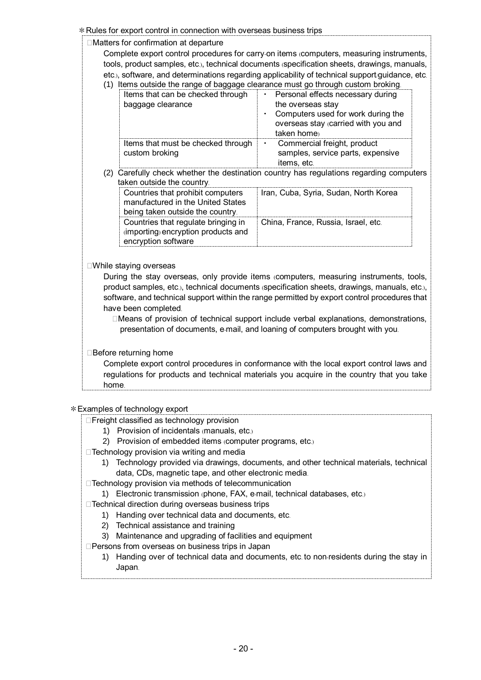\*Rules for export control in connection with overseas business trips  $\Box$ Matters for confirmation at departure Complete export control procedures for carry-on items (computers, measuring instruments, tools, product samples, etc.), technical documents (specification sheets, drawings, manuals, etc.), software, and determinations regarding applicability of technical support/guidance, etc. (1) Items outside the range of baggage clearance must go through custom broking. Items that can be checked through baggage clearance Personal effects necessary during the overseas stay ・ Computers used for work during the overseas stay (carried with you and taken home) Items that must be checked through custom broking Commercial freight, product samples, service parts, expensive items, etc. (2) Carefully check whether the destination country has regulations regarding computers taken outside the country. Countries that prohibit computers manufactured in the United States being taken outside the country. Iran, Cuba, Syria, Sudan, North Korea Countries that regulate bringing in (importing) encryption products and encryption software China, France, Russia, Israel, etc.  $\square$ While staying overseas During the stay overseas, only provide items (computers, measuring instruments, tools, product samples, etc.), technical documents (specification sheets, drawings, manuals, etc.), software, and technical support within the range permitted by export control procedures that have been completed.  $\Box$ Means of provision of technical support include verbal explanations, demonstrations, presentation of documents, e-mail, and loaning of computers brought with you.  $\Box$  Before returning home Complete export control procedures in conformance with the local export control laws and regulations for products and technical materials you acquire in the country that you take home.

\*Examples of technology export

- $\Box$ Freight classified as technology provision
	- 1) Provision of incidentals (manuals, etc.)
	- 2) Provision of embedded items (computer programs, etc.)
- $\Box$ Technology provision via writing and media
	- 1) Technology provided via drawings, documents, and other technical materials, technical data, CDs, magnetic tape, and other electronic media.
- $\Box$ Technology provision via methods of telecommunication
- 1) Electronic transmission (phone, FAX, e-mail, technical databases, etc.)
- $\Box$  Technical direction during overseas business trips
	- 1) Handing over technical data and documents, etc.
	- 2) Technical assistance and training
	- 3) Maintenance and upgrading of facilities and equipment
- $\square$ Persons from overseas on business trips in Japan
	- 1) Handing over of technical data and documents, etc. to non-residents during the stay in Japan.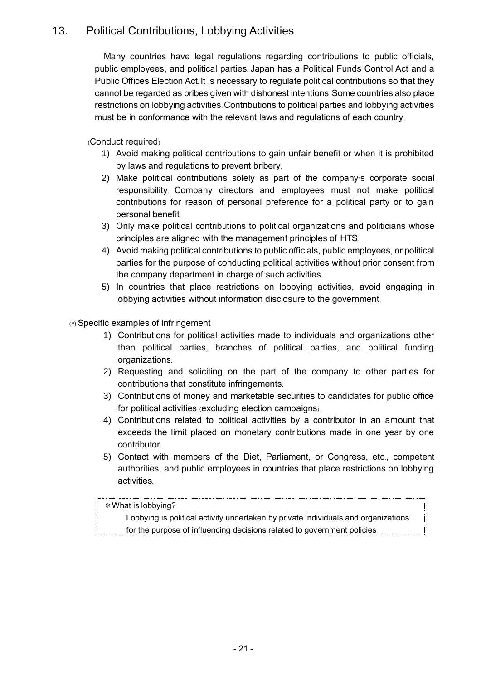# 13. Political Contributions, Lobbying Activities

Many countries have legal regulations regarding contributions to public officials, public employees, and political parties. Japan has a Political Funds Control Act and a Public Offices Election Act. It is necessary to regulate political contributions so that they cannot be regarded as bribes given with dishonest intentions. Some countries also place restrictions on lobbying activities. Contributions to political parties and lobbying activities must be in conformance with the relevant laws and regulations of each country.

(Conduct required)

- 1) Avoid making political contributions to gain unfair benefit or when it is prohibited by laws and regulations to prevent bribery.
- 2) Make political contributions solely as part of the company's corporate social responsibility. Company directors and employees must not make political contributions for reason of personal preference for a political party or to gain personal benefit.
- 3) Only make political contributions to political organizations and politicians whose principles are aligned with the management principles of HTS.
- 4) Avoid making political contributions to public officials, public employees, or political parties for the purpose of conducting political activities without prior consent from the company department in charge of such activities.
- 5) In countries that place restrictions on lobbying activities, avoid engaging in lobbying activities without information disclosure to the government.

(\*) Specific examples of infringement

- 1) Contributions for political activities made to individuals and organizations other than political parties, branches of political parties, and political funding organizations.
- 2) Requesting and soliciting on the part of the company to other parties for contributions that constitute infringements.
- 3) Contributions of money and marketable securities to candidates for public office for political activities (excluding election campaigns).
- 4) Contributions related to political activities by a contributor in an amount that exceeds the limit placed on monetary contributions made in one year by one contributor.
- 5) Contact with members of the Diet, Parliament, or Congress, etc., competent authorities, and public employees in countries that place restrictions on lobbying activities.

#### \*What is lobbying?

Lobbying is political activity undertaken by private individuals and organizations for the purpose of influencing decisions related to government policies.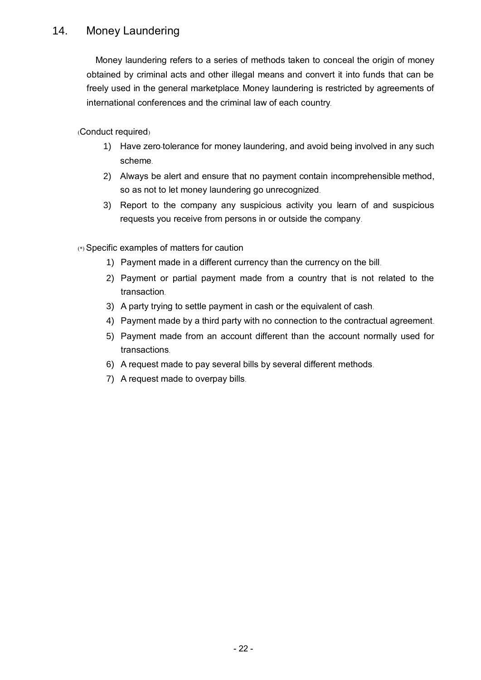# 14. Money Laundering

Money laundering refers to a series of methods taken to conceal the origin of money obtained by criminal acts and other illegal means and convert it into funds that can be freely used in the general marketplace. Money laundering is restricted by agreements of international conferences and the criminal law of each country.

(Conduct required)

- 1) Have zero-tolerance for money laundering, and avoid being involved in any such scheme.
- 2) Always be alert and ensure that no payment contain incomprehensible method, so as not to let money laundering go unrecognized.
- 3) Report to the company any suspicious activity you learn of and suspicious requests you receive from persons in or outside the company.

(\*) Specific examples of matters for caution

- 1) Payment made in a different currency than the currency on the bill.
- 2) Payment or partial payment made from a country that is not related to the transaction.
- 3) A party trying to settle payment in cash or the equivalent of cash.
- 4) Payment made by a third party with no connection to the contractual agreement.
- 5) Payment made from an account different than the account normally used for transactions.
- 6) A request made to pay several bills by several different methods.
- 7) A request made to overpay bills.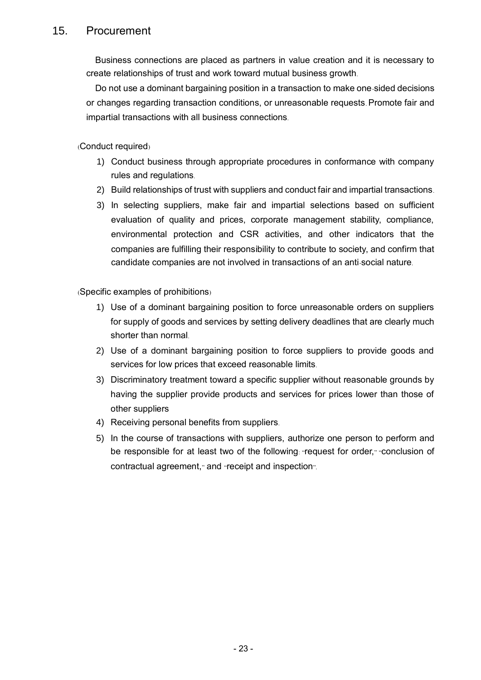### 15. Procurement

Business connections are placed as partners in value creation and it is necessary to create relationships of trust and work toward mutual business growth.

Do not use a dominant bargaining position in a transaction to make one-sided decisions or changes regarding transaction conditions, or unreasonable requests. Promote fair and impartial transactions with all business connections.

(Conduct required)

- 1) Conduct business through appropriate procedures in conformance with company rules and regulations.
- 2) Build relationships of trust with suppliers and conduct fair and impartial transactions.
- 3) In selecting suppliers, make fair and impartial selections based on sufficient evaluation of quality and prices, corporate management stability, compliance, environmental protection and CSR activities, and other indicators that the companies are fulfilling their responsibility to contribute to society, and confirm that candidate companies are not involved in transactions of an anti-social nature.

(Specific examples of prohibitions)

- 1) Use of a dominant bargaining position to force unreasonable orders on suppliers for supply of goods and services by setting delivery deadlines that are clearly much shorter than normal.
- 2) Use of a dominant bargaining position to force suppliers to provide goods and services for low prices that exceed reasonable limits.
- 3) Discriminatory treatment toward a specific supplier without reasonable grounds by having the supplier provide products and services for prices lower than those of other suppliers
- 4) Receiving personal benefits from suppliers.
- 5) In the course of transactions with suppliers, authorize one person to perform and be responsible for at least two of the following: "request for order," "conclusion of contractual agreement," and "receipt and inspection".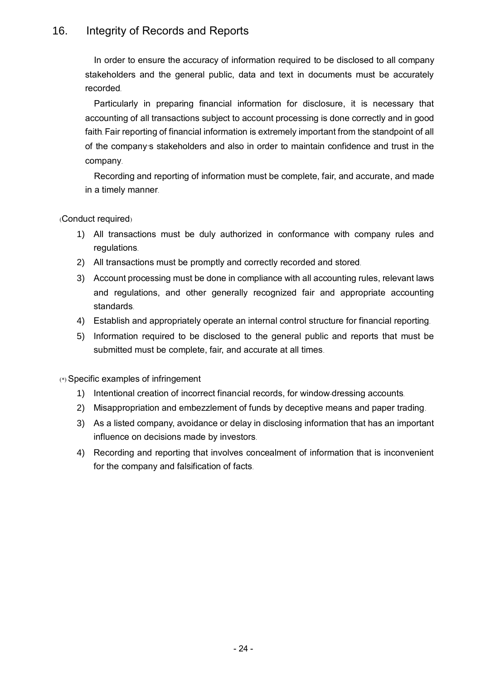# 16. Integrity of Records and Reports

In order to ensure the accuracy of information required to be disclosed to all company stakeholders and the general public, data and text in documents must be accurately recorded.

Particularly in preparing financial information for disclosure, it is necessary that accounting of all transactions subject to account processing is done correctly and in good faith. Fair reporting of financial information is extremely important from the standpoint of all of the company's stakeholders and also in order to maintain confidence and trust in the company.

Recording and reporting of information must be complete, fair, and accurate, and made in a timely manner.

(Conduct required)

- 1) All transactions must be duly authorized in conformance with company rules and regulations.
- 2) All transactions must be promptly and correctly recorded and stored.
- 3) Account processing must be done in compliance with all accounting rules, relevant laws and regulations, and other generally recognized fair and appropriate accounting standards.
- 4) Establish and appropriately operate an internal control structure for financial reporting.
- 5) Information required to be disclosed to the general public and reports that must be submitted must be complete, fair, and accurate at all times.

- 1) Intentional creation of incorrect financial records, for window-dressing accounts.
- 2) Misappropriation and embezzlement of funds by deceptive means and paper trading.
- 3) As a listed company, avoidance or delay in disclosing information that has an important influence on decisions made by investors.
- 4) Recording and reporting that involves concealment of information that is inconvenient for the company and falsification of facts.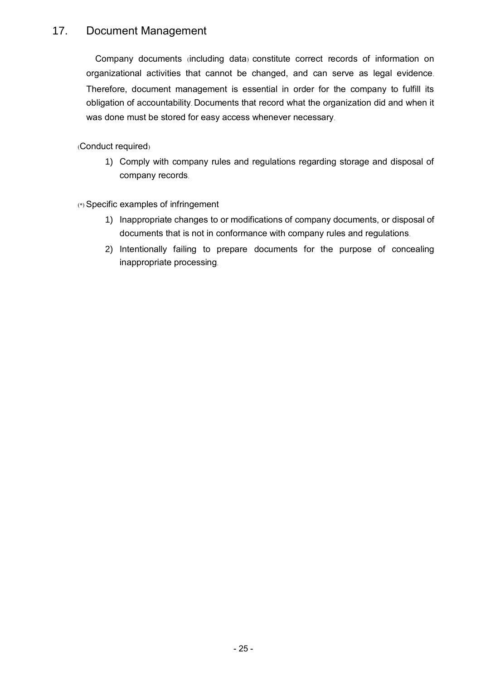### 17. Document Management

Company documents (including data) constitute correct records of information on organizational activities that cannot be changed, and can serve as legal evidence. Therefore, document management is essential in order for the company to fulfill its obligation of accountability. Documents that record what the organization did and when it was done must be stored for easy access whenever necessary.

(Conduct required)

1) Comply with company rules and regulations regarding storage and disposal of company records.

- 1) Inappropriate changes to or modifications of company documents, or disposal of documents that is not in conformance with company rules and regulations.
- 2) Intentionally failing to prepare documents for the purpose of concealing inappropriate processing.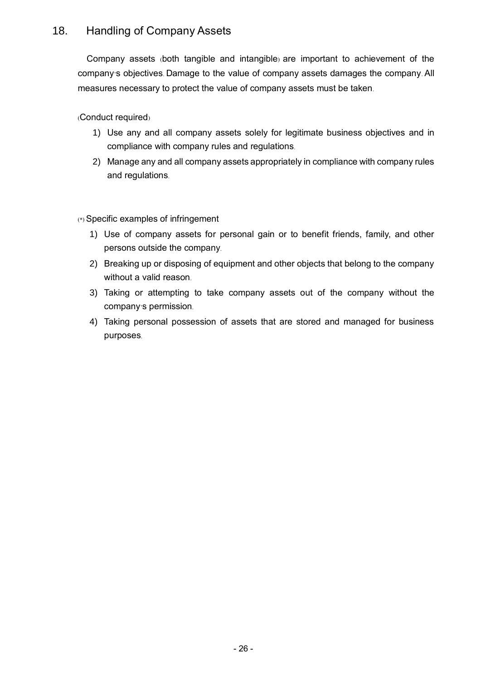# 18. Handling of Company Assets

Company assets (both tangible and intangible) are important to achievement of the company's objectives. Damage to the value of company assets damages the company. All measures necessary to protect the value of company assets must be taken.

(Conduct required)

- 1) Use any and all company assets solely for legitimate business objectives and in compliance with company rules and regulations.
- 2) Manage any and all company assets appropriately in compliance with company rules and regulations.

- 1) Use of company assets for personal gain or to benefit friends, family, and other persons outside the company.
- 2) Breaking up or disposing of equipment and other objects that belong to the company without a valid reason.
- 3) Taking or attempting to take company assets out of the company without the company's permission.
- 4) Taking personal possession of assets that are stored and managed for business purposes.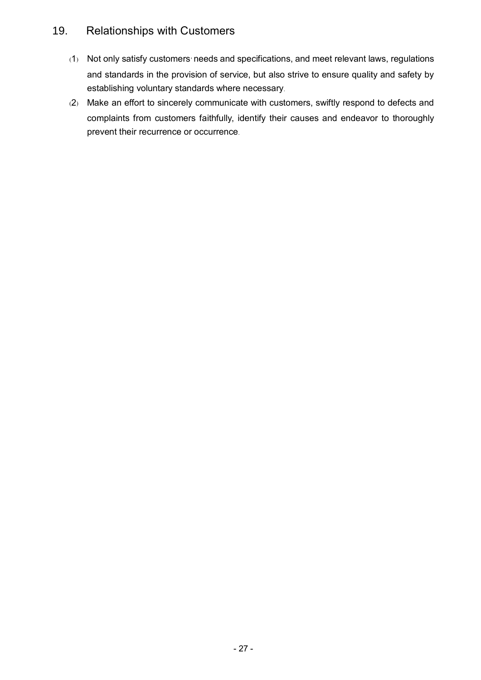## 19. Relationships with Customers

- (1) Not only satisfy customers' needs and specifications, and meet relevant laws, regulations and standards in the provision of service, but also strive to ensure quality and safety by establishing voluntary standards where necessary.
- (2) Make an effort to sincerely communicate with customers, swiftly respond to defects and complaints from customers faithfully, identify their causes and endeavor to thoroughly prevent their recurrence or occurrence.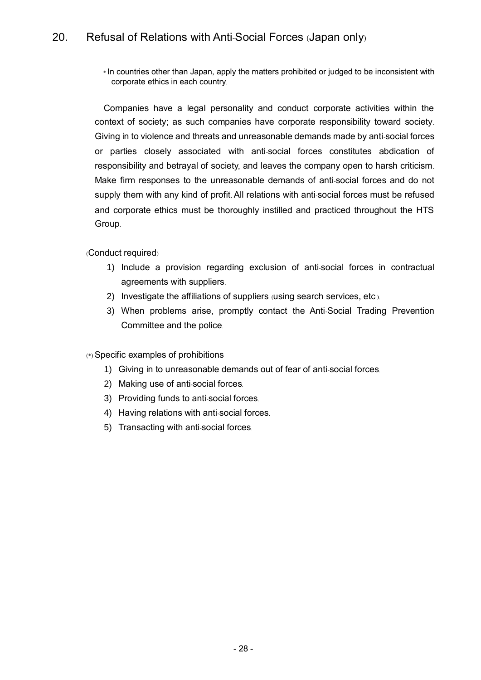\* In countries other than Japan, apply the matters prohibited or judged to be inconsistent with corporate ethics in each country.

Companies have a legal personality and conduct corporate activities within the context of society; as such companies have corporate responsibility toward society. Giving in to violence and threats and unreasonable demands made by anti-social forces or parties closely associated with anti-social forces constitutes abdication of responsibility and betrayal of society, and leaves the company open to harsh criticism. Make firm responses to the unreasonable demands of anti-social forces and do not supply them with any kind of profit. All relations with anti-social forces must be refused and corporate ethics must be thoroughly instilled and practiced throughout the HTS Group.

(Conduct required)

- 1) Include a provision regarding exclusion of anti-social forces in contractual agreements with suppliers.
- 2) Investigate the affiliations of suppliers (using search services, etc.).
- 3) When problems arise, promptly contact the Anti-Social Trading Prevention Committee and the police.

(\*) Specific examples of prohibitions

- 1) Giving in to unreasonable demands out of fear of anti-social forces.
- 2) Making use of anti-social forces.
- 3) Providing funds to anti-social forces.
- 4) Having relations with anti-social forces.
- 5) Transacting with anti-social forces.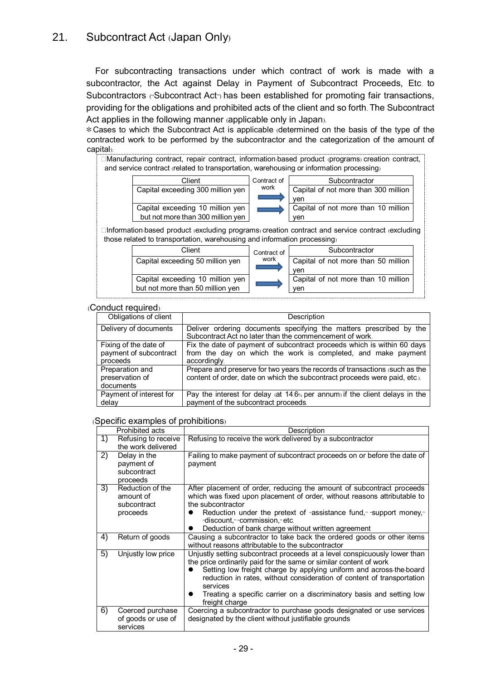For subcontracting transactions under which contract of work is made with a subcontractor, the Act against Delay in Payment of Subcontract Proceeds, Etc. to Subcontractors ("Subcontract Act") has been established for promoting fair transactions, providing for the obligations and prohibited acts of the client and so forth. The Subcontract Act applies in the following manner (applicable only in Japan).

\*Cases to which the Subcontract Act is applicable (determined on the basis of the type of the contracted work to be performed by the subcontractor and the categorization of the amount of capital):

□Manufacturing contract, repair contract, information-based product (programs) creation contract, and service contract (related to transportation, warehousing or information processing)

| Client                            | Contract of | Subcontractor                        |
|-----------------------------------|-------------|--------------------------------------|
| Capital exceeding 300 million yen | work        | Capital of not more than 300 million |
|                                   |             | ven                                  |
| Capital exceeding 10 million yen  |             | Capital of not more than 10 million  |
| but not more than 300 million ven |             | ven                                  |

□Information-based product (excluding programs) creation contract and service contract (excluding those related to transportation, warehousing and information processing)

| Client                           | Contract of | Subcontractor                       |
|----------------------------------|-------------|-------------------------------------|
| Capital exceeding 50 million yen | work        | Capital of not more than 50 million |
|                                  |             | ven                                 |
| Capital exceeding 10 million yen |             | Capital of not more than 10 million |
| but not more than 50 million yen |             | ven                                 |

#### (Conduct required)

| Obligations of client                                       | Description                                                                                                                                               |  |  |  |
|-------------------------------------------------------------|-----------------------------------------------------------------------------------------------------------------------------------------------------------|--|--|--|
| Delivery of documents                                       | Deliver ordering documents specifying the matters prescribed by the<br>Subcontract Act no later than the commencement of work.                            |  |  |  |
| Fixing of the date of<br>payment of subcontract<br>proceeds | Fix the date of payment of subcontract proceeds which is within 60 days<br>from the day on which the work is completed, and make payment<br>accordingly.  |  |  |  |
| Preparation and<br>preservation of<br>documents             | Prepare and preserve for two years the records of transactions (such as the<br>content of order, date on which the subcontract proceeds were paid, etc.). |  |  |  |
| Payment of interest for<br>delay                            | Pay the interest for delay (at $14.6\%$ per annum) if the client delays in the<br>payment of the subcontract proceeds.                                    |  |  |  |

#### (Specific examples of prohibitions)

| Prohibited acts |                                                          | Description                                                                                                                                                                                                                                                                                                                                                                                                         |  |  |  |
|-----------------|----------------------------------------------------------|---------------------------------------------------------------------------------------------------------------------------------------------------------------------------------------------------------------------------------------------------------------------------------------------------------------------------------------------------------------------------------------------------------------------|--|--|--|
| 1)              | Refusing to receive<br>the work delivered                | Refusing to receive the work delivered by a subcontractor                                                                                                                                                                                                                                                                                                                                                           |  |  |  |
| 2)              | Delay in the<br>payment of<br>subcontract<br>proceeds    | Failing to make payment of subcontract proceeds on or before the date of<br>payment                                                                                                                                                                                                                                                                                                                                 |  |  |  |
| 3)              | Reduction of the<br>amount of<br>subcontract<br>proceeds | After placement of order, reducing the amount of subcontract proceeds<br>which was fixed upon placement of order, without reasons attributable to<br>the subcontractor<br>Reduction under the pretext of "assistance fund," "support money,"<br>$\bullet$<br>"discount," "commission," etc.<br>Deduction of bank charge without written agreement<br>$\bullet$                                                      |  |  |  |
| 4)              | Return of goods                                          | Causing a subcontractor to take back the ordered goods or other items<br>without reasons attributable to the subcontractor                                                                                                                                                                                                                                                                                          |  |  |  |
| 5)              | Unjustly low price                                       | Unjustly setting subcontract proceeds at a level conspicuously lower than<br>the price ordinarily paid for the same or similar content of work<br>Setting low freight charge by applying uniform and across the board<br>reduction in rates, without consideration of content of transportation<br>services<br>Treating a specific carrier on a discriminatory basis and setting low<br>$\bullet$<br>freight charge |  |  |  |
| 6)              | Coerced purchase<br>of goods or use of<br>services       | Coercing a subcontractor to purchase goods designated or use services<br>designated by the client without justifiable grounds                                                                                                                                                                                                                                                                                       |  |  |  |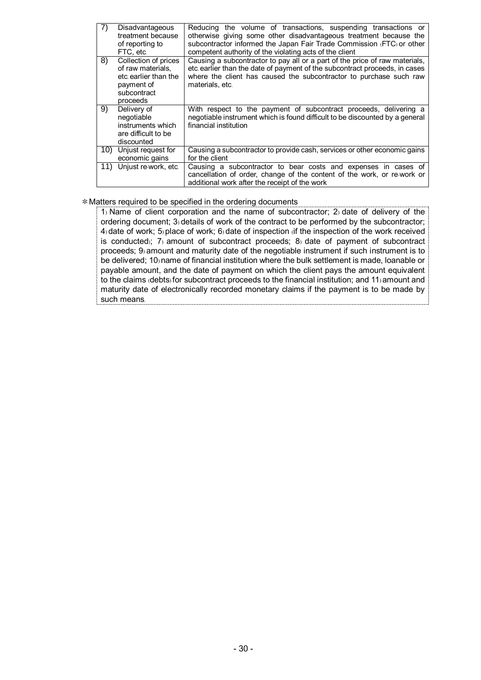| 7)    | Disadvantageous<br>treatment because<br>of reporting to<br>FTC, etc.                                       | Reducing the volume of transactions, suspending transactions or<br>otherwise giving some other disadvantageous treatment because the<br>subcontractor informed the Japan Fair Trade Commission (FTC) or other<br>competent authority of the violating acts of the client |
|-------|------------------------------------------------------------------------------------------------------------|--------------------------------------------------------------------------------------------------------------------------------------------------------------------------------------------------------------------------------------------------------------------------|
| 8)    | Collection of prices<br>of raw materials,<br>etc earlier than the<br>payment of<br>subcontract<br>proceeds | Causing a subcontractor to pay all or a part of the price of raw materials,<br>etc earlier than the date of payment of the subcontract proceeds, in cases<br>where the client has caused the subcontractor to purchase such raw<br>materials, etc.                       |
| 9)    | Delivery of<br>negotiable<br>instruments which<br>are difficult to be<br>discounted                        | With respect to the payment of subcontract proceeds, delivering a<br>negotiable instrument which is found difficult to be discounted by a general<br>financial institution                                                                                               |
| 10) - | Unjust request for<br>economic gains                                                                       | Causing a subcontractor to provide cash, services or other economic gains<br>for the client                                                                                                                                                                              |
|       | 11) Unjust re-work, etc.                                                                                   | Causing a subcontractor to bear costs and expenses in cases of<br>cancellation of order, change of the content of the work, or re-work or<br>additional work after the receipt of the work                                                                               |

#### \*Matters required to be specified in the ordering documents

1) Name of client corporation and the name of subcontractor; 2) date of delivery of the ordering document; 3) details of work of the contract to be performed by the subcontractor; 4) date of work; 5) place of work; 6) date of inspection (if the inspection of the work received is conducted); 7) amount of subcontract proceeds; 8) date of payment of subcontract proceeds; 9) amount and maturity date of the negotiable instrument if such instrument is to be delivered; 10) name of financial institution where the bulk settlement is made, loanable or payable amount, and the date of payment on which the client pays the amount equivalent to the claims (debts) for subcontract proceeds to the financial institution; and 11) amount and maturity date of electronically recorded monetary claims if the payment is to be made by such means.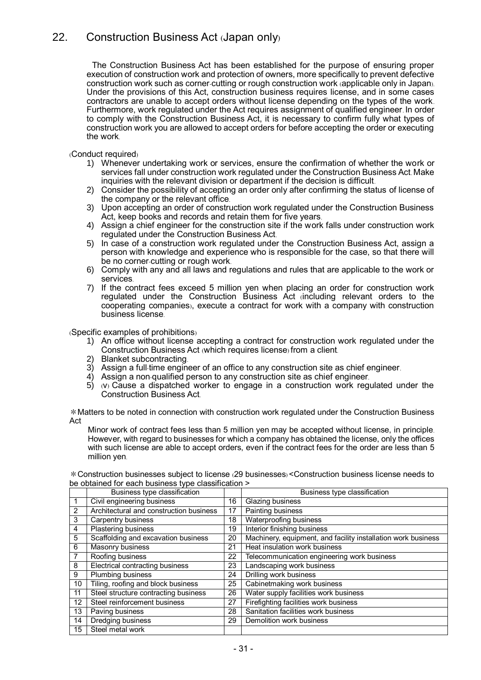## 22. Construction Business Act (Japan only)

The Construction Business Act has been established for the purpose of ensuring proper execution of construction work and protection of owners, more specifically to prevent defective construction work such as corner-cutting or rough construction work (applicable only in Japan). Under the provisions of this Act, construction business requires license, and in some cases contractors are unable to accept orders without license depending on the types of the work. Furthermore, work regulated under the Act requires assignment of qualified engineer. In order to comply with the Construction Business Act, it is necessary to confirm fully what types of construction work you are allowed to accept orders for before accepting the order or executing the work.

(Conduct required)

- 1) Whenever undertaking work or services, ensure the confirmation of whether the work or services fall under construction work regulated under the Construction Business Act. Make inquiries with the relevant division or department if the decision is difficult.
- 2) Consider the possibility of accepting an order only after confirming the status of license of the company or the relevant office.
- 3) Upon accepting an order of construction work regulated under the Construction Business Act, keep books and records and retain them for five years.
- 4) Assign a chief engineer for the construction site if the work falls under construction work regulated under the Construction Business Act.
- 5) In case of a construction work regulated under the Construction Business Act, assign a person with knowledge and experience who is responsible for the case, so that there will be no corner-cutting or rough work.
- 6) Comply with any and all laws and regulations and rules that are applicable to the work or services.
- 7) If the contract fees exceed 5 million yen when placing an order for construction work regulated under the Construction Business Act (including relevant orders to the cooperating companies), execute a contract for work with a company with construction business license.

(Specific examples of prohibitions)

- 1) An office without license accepting a contract for construction work regulated under the Construction Business Act (which requires license) from a client.
- 2) Blanket subcontracting.
- 3) Assign a full-time engineer of an office to any construction site as chief engineer.
- 4) Assign a non-qualified person to any construction site as chief engineer.
- $5)$  (v) Cause a dispatched worker to engage in a construction work regulated under the Construction Business Act.

\*Matters to be noted in connection with construction work regulated under the Construction Business Act

Minor work of contract fees less than 5 million yen may be accepted without license, in principle. However, with regard to businesses for which a company has obtained the license, only the offices with such license are able to accept orders, even if the contract fees for the order are less than 5 million yen.

\*Construction businesses subject to license (29 businesses) <Construction business license needs to be obtained for each business type classification >

|                 | Business type classification            |    | Business type classification                                  |
|-----------------|-----------------------------------------|----|---------------------------------------------------------------|
|                 | Civil engineering business              | 16 | <b>Glazing business</b>                                       |
| 2               | Architectural and construction business | 17 | <b>Painting business</b>                                      |
| 3               | Carpentry business                      | 18 | Waterproofing business                                        |
| 4               | <b>Plastering business</b>              | 19 | <b>Interior finishing business</b>                            |
| 5               | Scaffolding and excavation business     | 20 | Machinery, equipment, and facility installation work business |
| 6               | <b>Masonry business</b>                 | 21 | Heat insulation work business                                 |
| 7               | Roofing business                        | 22 | Telecommunication engineering work business                   |
| 8               | Electrical contracting business         | 23 | Landscaping work business                                     |
| 9               | <b>Plumbing business</b>                | 24 | <b>Drilling work business</b>                                 |
| 10 <sup>°</sup> | Tiling, roofing and block business      | 25 | Cabinetmaking work business                                   |
| 11              | Steel structure contracting business    | 26 | Water supply facilities work business                         |
| 12              | Steel reinforcement business            | 27 | Firefighting facilities work business                         |
| 13              | Paving business                         | 28 | Sanitation facilities work business                           |
| 14              | Dredging business                       | 29 | Demolition work business                                      |
| 15              | Steel metal work                        |    |                                                               |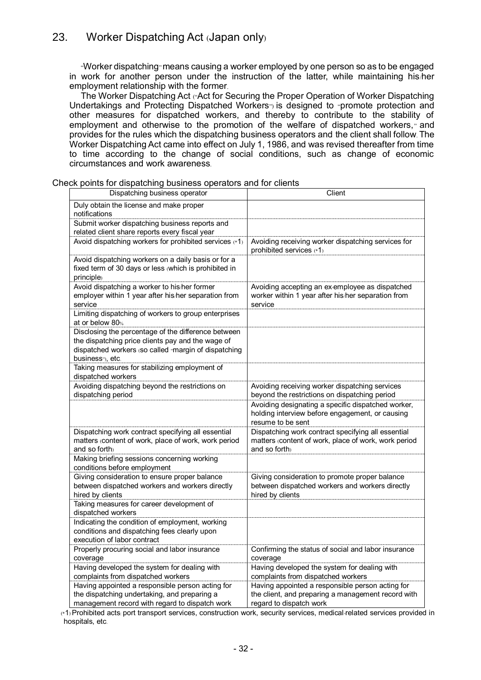"Worker dispatching" means causing a worker employed by one person so as to be engaged in work for another person under the instruction of the latter, while maintaining his/her employment relationship with the former.

The Worker Dispatching Act ("Act for Securing the Proper Operation of Worker Dispatching Undertakings and Protecting Dispatched Workers") is designed to "promote protection and other measures for dispatched workers, and thereby to contribute to the stability of employment and otherwise to the promotion of the welfare of dispatched workers," and provides for the rules which the dispatching business operators and the client shall follow. The Worker Dispatching Act came into effect on July 1, 1986, and was revised thereafter from time to time according to the change of social conditions, such as change of economic circumstances and work awareness.

| Dispatching business operator                                                                  | Client                                                                         |
|------------------------------------------------------------------------------------------------|--------------------------------------------------------------------------------|
| Duly obtain the license and make proper                                                        |                                                                                |
| notifications                                                                                  |                                                                                |
| Submit worker dispatching business reports and                                                 |                                                                                |
| related client share reports every fiscal year                                                 |                                                                                |
| Avoid dispatching workers for prohibited services (*1)                                         | Avoiding receiving worker dispatching services for<br>prohibited services (*1) |
| Avoid dispatching workers on a daily basis or for a                                            |                                                                                |
| fixed term of 30 days or less (which is prohibited in                                          |                                                                                |
| principle)                                                                                     |                                                                                |
| Avoid dispatching a worker to his/her former                                                   | Avoiding accepting an ex-employee as dispatched                                |
| employer within 1 year after his/her separation from                                           | worker within 1 year after his/her separation from                             |
| service                                                                                        | service                                                                        |
| Limiting dispatching of workers to group enterprises                                           |                                                                                |
| at or below 80%                                                                                |                                                                                |
| Disclosing the percentage of the difference between                                            |                                                                                |
| the dispatching price clients pay and the wage of                                              |                                                                                |
| dispatched workers (so called "margin of dispatching                                           |                                                                                |
| business"), etc.                                                                               |                                                                                |
| Taking measures for stabilizing employment of                                                  |                                                                                |
| dispatched workers                                                                             |                                                                                |
| Avoiding dispatching beyond the restrictions on                                                | Avoiding receiving worker dispatching services                                 |
| dispatching period                                                                             | beyond the restrictions on dispatching period                                  |
|                                                                                                | Avoiding designating a specific dispatched worker,                             |
|                                                                                                | holding interview before engagement, or causing                                |
|                                                                                                | resume to be sent                                                              |
| Dispatching work contract specifying all essential                                             | Dispatching work contract specifying all essential                             |
| matters (content of work, place of work, work period                                           | matters (content of work, place of work, work period                           |
| and so forth)                                                                                  | and so forth                                                                   |
| Making briefing sessions concerning working                                                    |                                                                                |
| conditions before employment                                                                   |                                                                                |
| Giving consideration to ensure proper balance                                                  | Giving consideration to promote proper balance                                 |
| between dispatched workers and workers directly                                                | between dispatched workers and workers directly                                |
| hired by clients                                                                               | hired by clients                                                               |
| Taking measures for career development of                                                      |                                                                                |
| dispatched workers                                                                             |                                                                                |
| Indicating the condition of employment, working                                                |                                                                                |
| conditions and dispatching fees clearly upon                                                   |                                                                                |
|                                                                                                |                                                                                |
| execution of labor contract                                                                    |                                                                                |
| Properly procuring social and labor insurance                                                  | Confirming the status of social and labor insurance                            |
| coverage                                                                                       | coverage                                                                       |
| Having developed the system for dealing with                                                   | Having developed the system for dealing with                                   |
| complaints from dispatched workers                                                             | complaints from dispatched workers                                             |
| Having appointed a responsible person acting for                                               | Having appointed a responsible person acting for                               |
| the dispatching undertaking, and preparing a<br>management record with regard to dispatch work | the client, and preparing a management record with<br>regard to dispatch work  |

Check points for dispatching business operators and for clients

(\*1) Prohibited acts: port transport services, construction work, security services, medical-related services provided in hospitals, etc.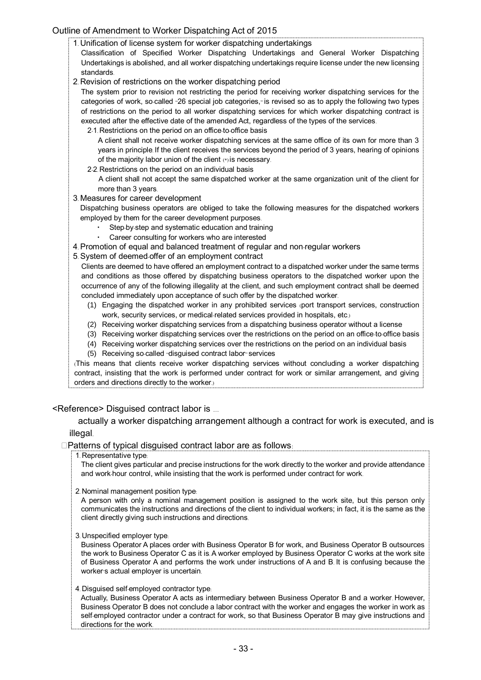### Outline of Amendment to Worker Dispatching Act of 2015

1. Unification of license system for worker dispatching undertakings

Classification of Specified Worker Dispatching Undertakings and General Worker Dispatching Undertakings is abolished, and all worker dispatching undertakings require license under the new licensing standards.

2. Revision of restrictions on the worker dispatching period

The system prior to revision not restricting the period for receiving worker dispatching services for the categories of work, so-called "26 special job categories," is revised so as to apply the following two types of restrictions on the period to all worker dispatching services for which worker dispatching contract is executed after the effective date of the amended Act, regardless of the types of the services.

2-1. Restrictions on the period on an office-to-office basis

A client shall not receive worker dispatching services at the same office of its own for more than 3 years in principle. If the client receives the services beyond the period of 3 years, hearing of opinions of the majority labor union of the client (\*) is necessary.

2-2. Restrictions on the period on an individual basis

A client shall not accept the same dispatched worker at the same organization unit of the client for more than 3 years.

3. Measures for career development

Dispatching business operators are obliged to take the following measures for the dispatched workers employed by them for the career development purposes.

- ・ Step-by-step and systematic education and training
- Career consulting for workers who are interested
- 4. Promotion of equal and balanced treatment of regular and non-regular workers
- 5. System of deemed-offer of an employment contract

Clients are deemed to have offered an employment contract to a dispatched worker under the same terms and conditions as those offered by dispatching business operators to the dispatched worker upon the occurrence of any of the following illegality at the client, and such employment contract shall be deemed concluded immediately upon acceptance of such offer by the dispatched worker.

- (1) Engaging the dispatched worker in any prohibited services (port transport services, construction work, security services, or medical-related services provided in hospitals, etc.)
- (2) Receiving worker dispatching services from a dispatching business operator without a license
- (3) Receiving worker dispatching services over the restrictions on the period on an office-to-office basis
- (4) Receiving worker dispatching services over the restrictions on the period on an individual basis
- (5) Receiving so-called "disguised contract labor" services

(This means that clients receive worker dispatching services without concluding a worker dispatching contract, insisting that the work is performed under contract for work or similar arrangement, and giving orders and directions directly to the worker.)

#### <Reference> Disguised contract labor is …

actually a worker dispatching arrangement although a contract for work is executed, and is illegal.

 $\square$ Patterns of typical disguised contract labor are as follows:

1. Representative type:

The client gives particular and precise instructions for the work directly to the worker and provide attendance and work-hour control, while insisting that the work is performed under contract for work.

2. Nominal management position type:

A person with only a nominal management position is assigned to the work site, but this person only communicates the instructions and directions of the client to individual workers; in fact, it is the same as the client directly giving such instructions and directions.

3. Unspecified employer type:

Business Operator A places order with Business Operator B for work, and Business Operator B outsources the work to Business Operator C as it is. A worker employed by Business Operator C works at the work site of Business Operator A and performs the work under instructions of A and B. It is confusing because the worker's actual employer is uncertain.

4. Disguised self-employed contractor type:

Actually, Business Operator A acts as intermediary between Business Operator B and a worker. However, Business Operator B does not conclude a labor contract with the worker and engages the worker in work as self-employed contractor under a contract for work, so that Business Operator B may give instructions and directions for the work.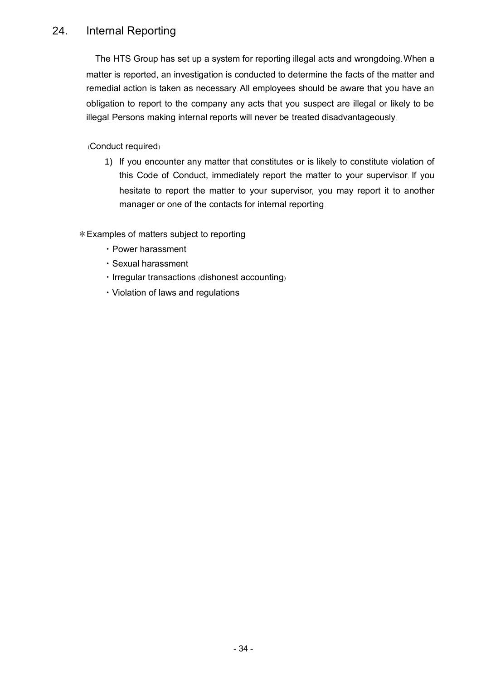# 24. Internal Reporting

The HTS Group has set up a system for reporting illegal acts and wrongdoing. When a matter is reported, an investigation is conducted to determine the facts of the matter and remedial action is taken as necessary. All employees should be aware that you have an obligation to report to the company any acts that you suspect are illegal or likely to be illegal. Persons making internal reports will never be treated disadvantageously.

(Conduct required)

1) If you encounter any matter that constitutes or is likely to constitute violation of this Code of Conduct, immediately report the matter to your supervisor. If you hesitate to report the matter to your supervisor, you may report it to another manager or one of the contacts for internal reporting.

\*Examples of matters subject to reporting

- ・Power harassment
- ・Sexual harassment
- ・Irregular transactions (dishonest accounting)
- ・Violation of laws and regulations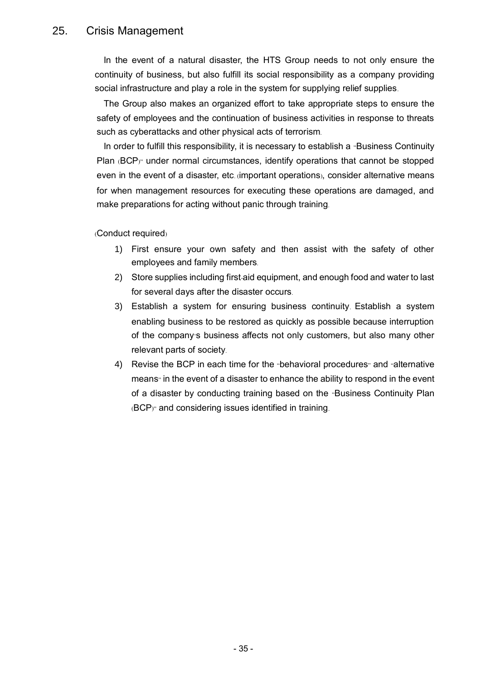### 25. Crisis Management

In the event of a natural disaster, the HTS Group needs to not only ensure the continuity of business, but also fulfill its social responsibility as a company providing social infrastructure and play a role in the system for supplying relief supplies.

The Group also makes an organized effort to take appropriate steps to ensure the safety of employees and the continuation of business activities in response to threats such as cyberattacks and other physical acts of terrorism.

In order to fulfill this responsibility, it is necessary to establish a "Business Continuity" Plan (BCP)" under normal circumstances, identify operations that cannot be stopped even in the event of a disaster, etc. (important operations), consider alternative means for when management resources for executing these operations are damaged, and make preparations for acting without panic through training.

(Conduct required)

- 1) First ensure your own safety and then assist with the safety of other employees and family members.
- 2) Store supplies including first-aid equipment, and enough food and water to last for several days after the disaster occurs.
- 3) Establish a system for ensuring business continuity. Establish a system enabling business to be restored as quickly as possible because interruption of the company's business affects not only customers, but also many other relevant parts of society.
- 4) Revise the BCP in each time for the "behavioral procedures" and "alternative means<sup>"</sup> in the event of a disaster to enhance the ability to respond in the event of a disaster by conducting training based on the "Business Continuity Plan (BCP)" and considering issues identified in training.